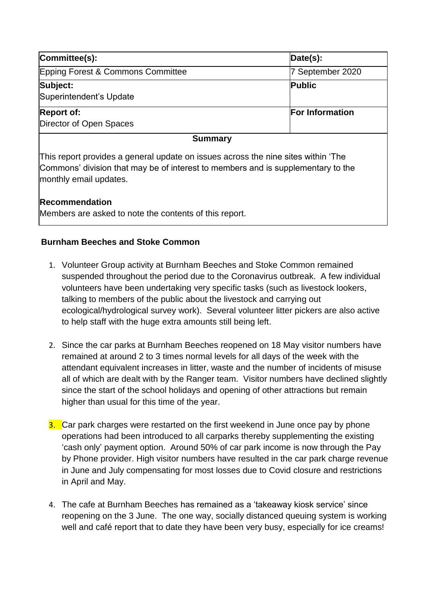| Committee(s):                                                                     | Date(s):               |
|-----------------------------------------------------------------------------------|------------------------|
| Epping Forest & Commons Committee                                                 | 7 September 2020       |
| Subject:                                                                          | <b>Public</b>          |
| Superintendent's Update                                                           |                        |
| <b>Report of:</b>                                                                 | <b>For Information</b> |
| Director of Open Spaces                                                           |                        |
| <b>Summary</b>                                                                    |                        |
| This report provides a general update on issues across the nine sites within 'The |                        |

Commons' division that may be of interest to members and is supplementary to the monthly email updates.

### **Recommendation**

Members are asked to note the contents of this report.

### **Burnham Beeches and Stoke Common**

- 1. Volunteer Group activity at Burnham Beeches and Stoke Common remained suspended throughout the period due to the Coronavirus outbreak. A few individual volunteers have been undertaking very specific tasks (such as livestock lookers, talking to members of the public about the livestock and carrying out ecological/hydrological survey work). Several volunteer litter pickers are also active to help staff with the huge extra amounts still being left.
- 2. Since the car parks at Burnham Beeches reopened on 18 May visitor numbers have remained at around 2 to 3 times normal levels for all days of the week with the attendant equivalent increases in litter, waste and the number of incidents of misuse all of which are dealt with by the Ranger team. Visitor numbers have declined slightly since the start of the school holidays and opening of other attractions but remain higher than usual for this time of the year.
- 3. Car park charges were restarted on the first weekend in June once pay by phone operations had been introduced to all carparks thereby supplementing the existing 'cash only' payment option. Around 50% of car park income is now through the Pay by Phone provider. High visitor numbers have resulted in the car park charge revenue in June and July compensating for most losses due to Covid closure and restrictions in April and May.
- 4. The cafe at Burnham Beeches has remained as a 'takeaway kiosk service' since reopening on the 3 June. The one way, socially distanced queuing system is working well and café report that to date they have been very busy, especially for ice creams!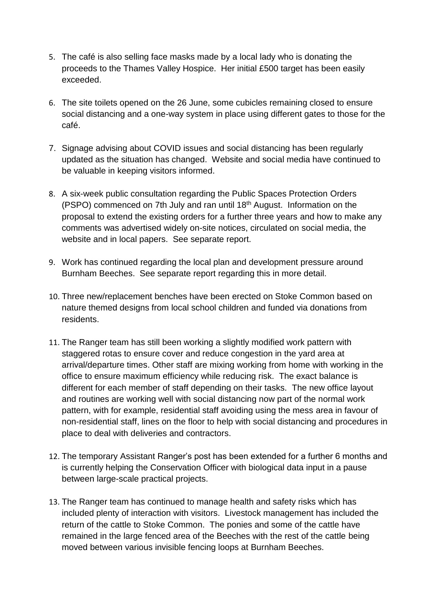- 5. The café is also selling face masks made by a local lady who is donating the proceeds to the Thames Valley Hospice. Her initial £500 target has been easily exceeded.
- 6. The site toilets opened on the 26 June, some cubicles remaining closed to ensure social distancing and a one-way system in place using different gates to those for the café.
- 7. Signage advising about COVID issues and social distancing has been regularly updated as the situation has changed. Website and social media have continued to be valuable in keeping visitors informed.
- 8. A six-week public consultation regarding the Public Spaces Protection Orders (PSPO) commenced on 7th July and ran until 18th August. Information on the proposal to extend the existing orders for a further three years and how to make any comments was advertised widely on-site notices, circulated on social media, the website and in local papers. See separate report.
- 9. Work has continued regarding the local plan and development pressure around Burnham Beeches. See separate report regarding this in more detail.
- 10. Three new/replacement benches have been erected on Stoke Common based on nature themed designs from local school children and funded via donations from residents.
- 11. The Ranger team has still been working a slightly modified work pattern with staggered rotas to ensure cover and reduce congestion in the yard area at arrival/departure times. Other staff are mixing working from home with working in the office to ensure maximum efficiency while reducing risk. The exact balance is different for each member of staff depending on their tasks. The new office layout and routines are working well with social distancing now part of the normal work pattern, with for example, residential staff avoiding using the mess area in favour of non-residential staff, lines on the floor to help with social distancing and procedures in place to deal with deliveries and contractors.
- 12. The temporary Assistant Ranger's post has been extended for a further 6 months and is currently helping the Conservation Officer with biological data input in a pause between large-scale practical projects.
- 13. The Ranger team has continued to manage health and safety risks which has included plenty of interaction with visitors. Livestock management has included the return of the cattle to Stoke Common. The ponies and some of the cattle have remained in the large fenced area of the Beeches with the rest of the cattle being moved between various invisible fencing loops at Burnham Beeches.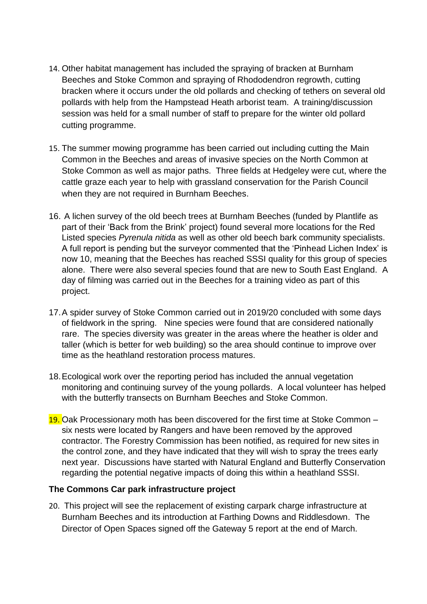- 14. Other habitat management has included the spraying of bracken at Burnham Beeches and Stoke Common and spraying of Rhododendron regrowth, cutting bracken where it occurs under the old pollards and checking of tethers on several old pollards with help from the Hampstead Heath arborist team. A training/discussion session was held for a small number of staff to prepare for the winter old pollard cutting programme.
- 15. The summer mowing programme has been carried out including cutting the Main Common in the Beeches and areas of invasive species on the North Common at Stoke Common as well as major paths. Three fields at Hedgeley were cut, where the cattle graze each year to help with grassland conservation for the Parish Council when they are not required in Burnham Beeches.
- 16. A lichen survey of the old beech trees at Burnham Beeches (funded by Plantlife as part of their 'Back from the Brink' project) found several more locations for the Red Listed species *Pyrenula nitida* as well as other old beech bark community specialists. A full report is pending but the surveyor commented that the 'Pinhead Lichen Index' is now 10, meaning that the Beeches has reached SSSI quality for this group of species alone. There were also several species found that are new to South East England. A day of filming was carried out in the Beeches for a training video as part of this project.
- 17.A spider survey of Stoke Common carried out in 2019/20 concluded with some days of fieldwork in the spring. Nine species were found that are considered nationally rare. The species diversity was greater in the areas where the heather is older and taller (which is better for web building) so the area should continue to improve over time as the heathland restoration process matures.
- 18.Ecological work over the reporting period has included the annual vegetation monitoring and continuing survey of the young pollards. A local volunteer has helped with the butterfly transects on Burnham Beeches and Stoke Common.
- 19. Oak Processionary moth has been discovered for the first time at Stoke Common six nests were located by Rangers and have been removed by the approved contractor. The Forestry Commission has been notified, as required for new sites in the control zone, and they have indicated that they will wish to spray the trees early next year. Discussions have started with Natural England and Butterfly Conservation regarding the potential negative impacts of doing this within a heathland SSSI.

#### **The Commons Car park infrastructure project**

20. This project will see the replacement of existing carpark charge infrastructure at Burnham Beeches and its introduction at Farthing Downs and Riddlesdown. The Director of Open Spaces signed off the Gateway 5 report at the end of March.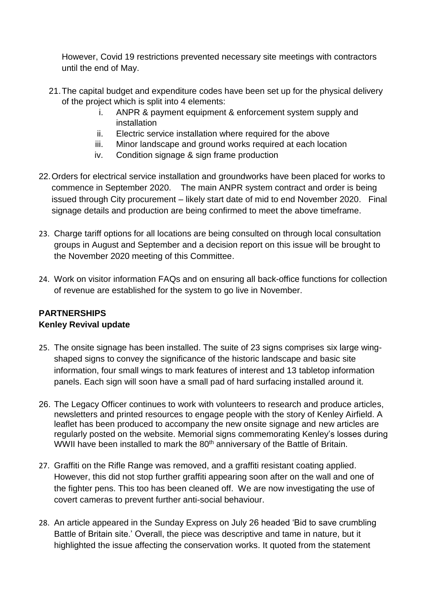However, Covid 19 restrictions prevented necessary site meetings with contractors until the end of May.

- 21.The capital budget and expenditure codes have been set up for the physical delivery of the project which is split into 4 elements:
	- i. ANPR & payment equipment & enforcement system supply and installation
	- ii. Electric service installation where required for the above
	- iii. Minor landscape and ground works required at each location
	- iv. Condition signage & sign frame production
- 22.Orders for electrical service installation and groundworks have been placed for works to commence in September 2020. The main ANPR system contract and order is being issued through City procurement – likely start date of mid to end November 2020. Final signage details and production are being confirmed to meet the above timeframe.
- 23. Charge tariff options for all locations are being consulted on through local consultation groups in August and September and a decision report on this issue will be brought to the November 2020 meeting of this Committee.
- 24. Work on visitor information FAQs and on ensuring all back-office functions for collection of revenue are established for the system to go live in November.

# **PARTNERSHIPS Kenley Revival update**

- 25. The onsite signage has been installed. The suite of 23 signs comprises six large wingshaped signs to convey the significance of the historic landscape and basic site information, four small wings to mark features of interest and 13 tabletop information panels. Each sign will soon have a small pad of hard surfacing installed around it.
- 26. The Legacy Officer continues to work with volunteers to research and produce articles, newsletters and printed resources to engage people with the story of Kenley Airfield. A leaflet has been produced to accompany the new onsite signage and new articles are regularly posted on the website. Memorial signs commemorating Kenley's losses during WWII have been installed to mark the 80<sup>th</sup> anniversary of the Battle of Britain.
- 27. Graffiti on the Rifle Range was removed, and a graffiti resistant coating applied. However, this did not stop further graffiti appearing soon after on the wall and one of the fighter pens. This too has been cleaned off. We are now investigating the use of covert cameras to prevent further anti-social behaviour.
- 28. An article appeared in the Sunday Express on July 26 headed 'Bid to save crumbling Battle of Britain site.' Overall, the piece was descriptive and tame in nature, but it highlighted the issue affecting the conservation works. It quoted from the statement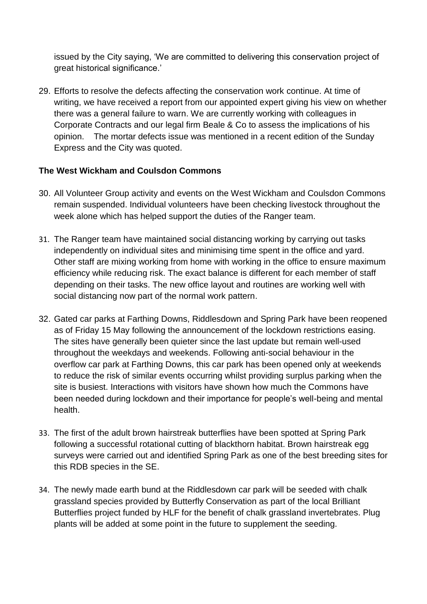issued by the City saying, 'We are committed to delivering this conservation project of great historical significance.'

29. Efforts to resolve the defects affecting the conservation work continue. At time of writing, we have received a report from our appointed expert giving his view on whether there was a general failure to warn. We are currently working with colleagues in Corporate Contracts and our legal firm Beale & Co to assess the implications of his opinion. The mortar defects issue was mentioned in a recent edition of the Sunday Express and the City was quoted.

### **The West Wickham and Coulsdon Commons**

- 30. All Volunteer Group activity and events on the West Wickham and Coulsdon Commons remain suspended. Individual volunteers have been checking livestock throughout the week alone which has helped support the duties of the Ranger team.
- 31. The Ranger team have maintained social distancing working by carrying out tasks independently on individual sites and minimising time spent in the office and yard. Other staff are mixing working from home with working in the office to ensure maximum efficiency while reducing risk. The exact balance is different for each member of staff depending on their tasks. The new office layout and routines are working well with social distancing now part of the normal work pattern.
- 32. Gated car parks at Farthing Downs, Riddlesdown and Spring Park have been reopened as of Friday 15 May following the announcement of the lockdown restrictions easing. The sites have generally been quieter since the last update but remain well-used throughout the weekdays and weekends. Following anti-social behaviour in the overflow car park at Farthing Downs, this car park has been opened only at weekends to reduce the risk of similar events occurring whilst providing surplus parking when the site is busiest. Interactions with visitors have shown how much the Commons have been needed during lockdown and their importance for people's well-being and mental health.
- 33. The first of the adult brown hairstreak butterflies have been spotted at Spring Park following a successful rotational cutting of blackthorn habitat. Brown hairstreak egg surveys were carried out and identified Spring Park as one of the best breeding sites for this RDB species in the SE.
- 34. The newly made earth bund at the Riddlesdown car park will be seeded with chalk grassland species provided by Butterfly Conservation as part of the local Brilliant Butterflies project funded by HLF for the benefit of chalk grassland invertebrates. Plug plants will be added at some point in the future to supplement the seeding.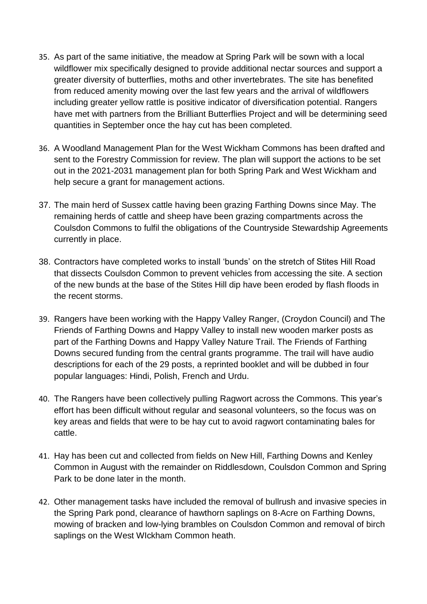- 35. As part of the same initiative, the meadow at Spring Park will be sown with a local wildflower mix specifically designed to provide additional nectar sources and support a greater diversity of butterflies, moths and other invertebrates. The site has benefited from reduced amenity mowing over the last few years and the arrival of wildflowers including greater yellow rattle is positive indicator of diversification potential. Rangers have met with partners from the Brilliant Butterflies Project and will be determining seed quantities in September once the hay cut has been completed.
- 36. A Woodland Management Plan for the West Wickham Commons has been drafted and sent to the Forestry Commission for review. The plan will support the actions to be set out in the 2021-2031 management plan for both Spring Park and West Wickham and help secure a grant for management actions.
- 37. The main herd of Sussex cattle having been grazing Farthing Downs since May. The remaining herds of cattle and sheep have been grazing compartments across the Coulsdon Commons to fulfil the obligations of the Countryside Stewardship Agreements currently in place.
- 38. Contractors have completed works to install 'bunds' on the stretch of Stites Hill Road that dissects Coulsdon Common to prevent vehicles from accessing the site. A section of the new bunds at the base of the Stites Hill dip have been eroded by flash floods in the recent storms.
- 39. Rangers have been working with the Happy Valley Ranger, (Croydon Council) and The Friends of Farthing Downs and Happy Valley to install new wooden marker posts as part of the Farthing Downs and Happy Valley Nature Trail. The Friends of Farthing Downs secured funding from the central grants programme. The trail will have audio descriptions for each of the 29 posts, a reprinted booklet and will be dubbed in four popular languages: Hindi, Polish, French and Urdu.
- 40. The Rangers have been collectively pulling Ragwort across the Commons. This year's effort has been difficult without regular and seasonal volunteers, so the focus was on key areas and fields that were to be hay cut to avoid ragwort contaminating bales for cattle.
- 41. Hay has been cut and collected from fields on New Hill, Farthing Downs and Kenley Common in August with the remainder on Riddlesdown, Coulsdon Common and Spring Park to be done later in the month.
- 42. Other management tasks have included the removal of bullrush and invasive species in the Spring Park pond, clearance of hawthorn saplings on 8-Acre on Farthing Downs, mowing of bracken and low-lying brambles on Coulsdon Common and removal of birch saplings on the West WIckham Common heath.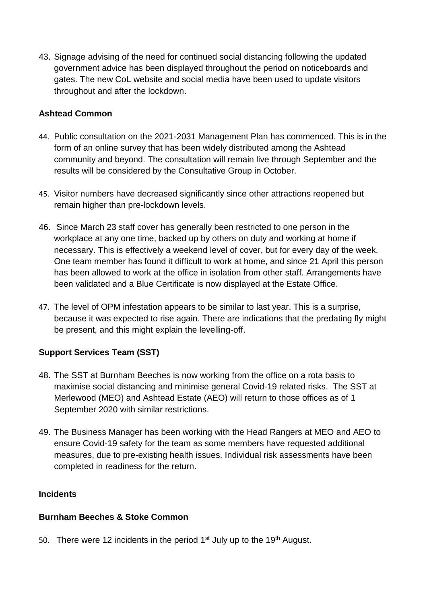43. Signage advising of the need for continued social distancing following the updated government advice has been displayed throughout the period on noticeboards and gates. The new CoL website and social media have been used to update visitors throughout and after the lockdown.

### **Ashtead Common**

- 44. Public consultation on the 2021-2031 Management Plan has commenced. This is in the form of an online survey that has been widely distributed among the Ashtead community and beyond. The consultation will remain live through September and the results will be considered by the Consultative Group in October.
- 45. Visitor numbers have decreased significantly since other attractions reopened but remain higher than pre-lockdown levels.
- 46. Since March 23 staff cover has generally been restricted to one person in the workplace at any one time, backed up by others on duty and working at home if necessary. This is effectively a weekend level of cover, but for every day of the week. One team member has found it difficult to work at home, and since 21 April this person has been allowed to work at the office in isolation from other staff. Arrangements have been validated and a Blue Certificate is now displayed at the Estate Office.
- 47. The level of OPM infestation appears to be similar to last year. This is a surprise, because it was expected to rise again. There are indications that the predating fly might be present, and this might explain the levelling-off.

# **Support Services Team (SST)**

- 48. The SST at Burnham Beeches is now working from the office on a rota basis to maximise social distancing and minimise general Covid-19 related risks. The SST at Merlewood (MEO) and Ashtead Estate (AEO) will return to those offices as of 1 September 2020 with similar restrictions.
- 49. The Business Manager has been working with the Head Rangers at MEO and AEO to ensure Covid-19 safety for the team as some members have requested additional measures, due to pre-existing health issues. Individual risk assessments have been completed in readiness for the return.

### **Incidents**

### **Burnham Beeches & Stoke Common**

50. There were 12 incidents in the period  $1<sup>st</sup>$  July up to the 19<sup>th</sup> August.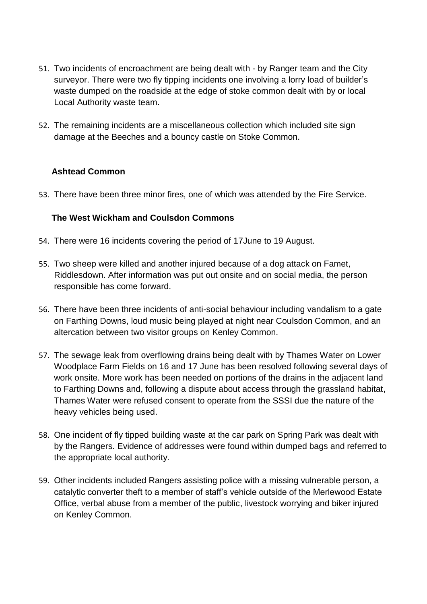- 51. Two incidents of encroachment are being dealt with by Ranger team and the City surveyor. There were two fly tipping incidents one involving a lorry load of builder's waste dumped on the roadside at the edge of stoke common dealt with by or local Local Authority waste team.
- 52. The remaining incidents are a miscellaneous collection which included site sign damage at the Beeches and a bouncy castle on Stoke Common.

### **Ashtead Common**

53. There have been three minor fires, one of which was attended by the Fire Service.

### **The West Wickham and Coulsdon Commons**

- 54. There were 16 incidents covering the period of 17June to 19 August.
- 55. Two sheep were killed and another injured because of a dog attack on Famet, Riddlesdown. After information was put out onsite and on social media, the person responsible has come forward.
- 56. There have been three incidents of anti-social behaviour including vandalism to a gate on Farthing Downs, loud music being played at night near Coulsdon Common, and an altercation between two visitor groups on Kenley Common.
- 57. The sewage leak from overflowing drains being dealt with by Thames Water on Lower Woodplace Farm Fields on 16 and 17 June has been resolved following several days of work onsite. More work has been needed on portions of the drains in the adjacent land to Farthing Downs and, following a dispute about access through the grassland habitat, Thames Water were refused consent to operate from the SSSI due the nature of the heavy vehicles being used.
- 58. One incident of fly tipped building waste at the car park on Spring Park was dealt with by the Rangers. Evidence of addresses were found within dumped bags and referred to the appropriate local authority.
- 59. Other incidents included Rangers assisting police with a missing vulnerable person, a catalytic converter theft to a member of staff's vehicle outside of the Merlewood Estate Office, verbal abuse from a member of the public, livestock worrying and biker injured on Kenley Common.